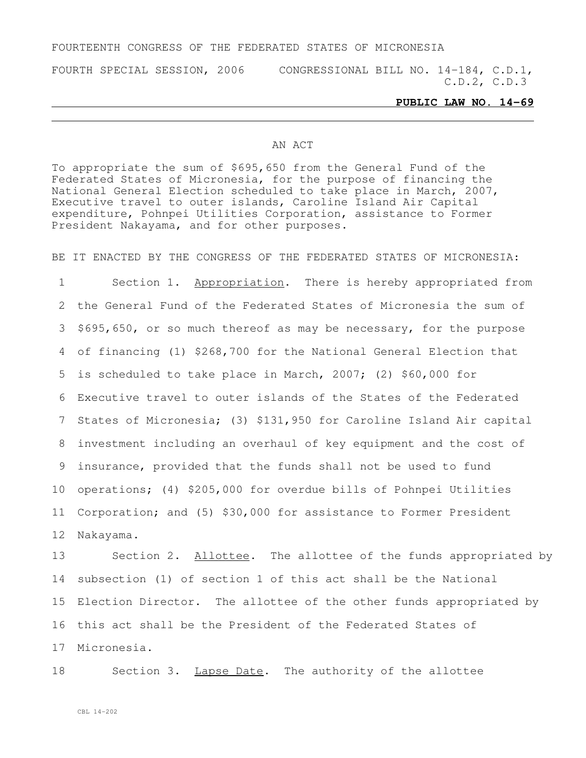## FOURTEENTH CONGRESS OF THE FEDERATED STATES OF MICRONESIA

FOURTH SPECIAL SESSION, 2006 CONGRESSIONAL BILL NO. 14-184, C.D.1, C.D.2, C.D.3

## **PUBLIC LAW NO. 14-69**

## AN ACT

To appropriate the sum of \$695,650 from the General Fund of the Federated States of Micronesia, for the purpose of financing the National General Election scheduled to take place in March, 2007, Executive travel to outer islands, Caroline Island Air Capital expenditure, Pohnpei Utilities Corporation, assistance to Former President Nakayama, and for other purposes.

BE IT ENACTED BY THE CONGRESS OF THE FEDERATED STATES OF MICRONESIA:

 Section 1. Appropriation. There is hereby appropriated from the General Fund of the Federated States of Micronesia the sum of \$695,650, or so much thereof as may be necessary, for the purpose of financing (1) \$268,700 for the National General Election that is scheduled to take place in March, 2007; (2) \$60,000 for Executive travel to outer islands of the States of the Federated States of Micronesia; (3) \$131,950 for Caroline Island Air capital investment including an overhaul of key equipment and the cost of insurance, provided that the funds shall not be used to fund operations; (4) \$205,000 for overdue bills of Pohnpei Utilities Corporation; and (5) \$30,000 for assistance to Former President Nakayama.

13 Section 2. Allottee. The allottee of the funds appropriated by subsection (1) of section 1 of this act shall be the National Election Director. The allottee of the other funds appropriated by this act shall be the President of the Federated States of Micronesia.

18 Section 3. Lapse Date. The authority of the allottee